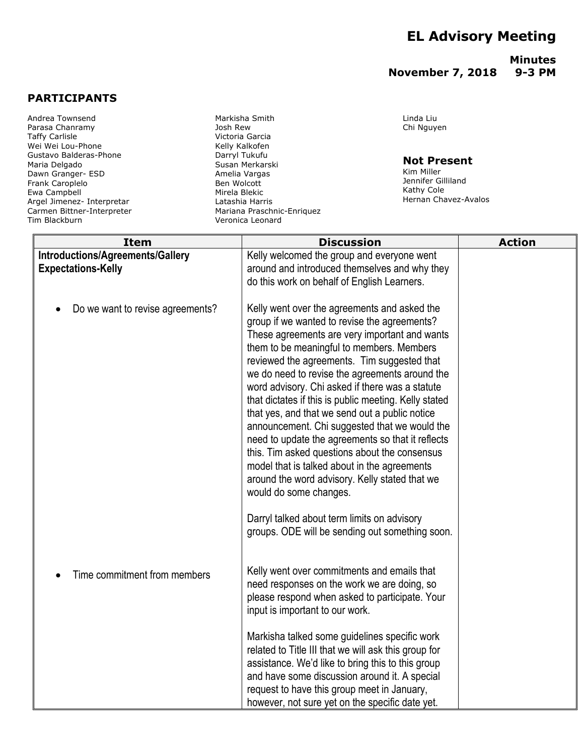# **EL Advisory Meeting**

### **Minutes November 7, 2018 9-3 PM**

## **PARTICIPANTS**

Andrea Townsend Parasa Chanramy Taffy Carlisle Wei Wei Lou-Phone Gustavo Balderas-Phone Maria Delgado Dawn Granger- ESD Frank Caroplelo Ewa Campbell Argel Jimenez- Interpretar Carmen Bittner-Interpreter Tim Blackburn

Markisha Smith Josh Rew Victoria Garcia Kelly Kalkofen Darryl Tukufu Susan Merkarski Amelia Vargas Ben Wolcott Mirela Blekic Latashia Harris Mariana Praschnic-Enriquez Veronica Leonard

#### Linda Liu Chi Nguyen

#### **Not Present**

Kim Miller Jennifer Gilliland Kathy Cole Hernan Chavez-Avalos

| <b>Item</b>                                                   | <b>Discussion</b>                                                                                                                                                                                                                                                                                                                                                                                                                                                                                                                                                                                                                                                                                                                                                                                                                              | <b>Action</b> |
|---------------------------------------------------------------|------------------------------------------------------------------------------------------------------------------------------------------------------------------------------------------------------------------------------------------------------------------------------------------------------------------------------------------------------------------------------------------------------------------------------------------------------------------------------------------------------------------------------------------------------------------------------------------------------------------------------------------------------------------------------------------------------------------------------------------------------------------------------------------------------------------------------------------------|---------------|
| Introductions/Agreements/Gallery<br><b>Expectations-Kelly</b> | Kelly welcomed the group and everyone went<br>around and introduced themselves and why they<br>do this work on behalf of English Learners.                                                                                                                                                                                                                                                                                                                                                                                                                                                                                                                                                                                                                                                                                                     |               |
| Do we want to revise agreements?                              | Kelly went over the agreements and asked the<br>group if we wanted to revise the agreements?<br>These agreements are very important and wants<br>them to be meaningful to members. Members<br>reviewed the agreements. Tim suggested that<br>we do need to revise the agreements around the<br>word advisory. Chi asked if there was a statute<br>that dictates if this is public meeting. Kelly stated<br>that yes, and that we send out a public notice<br>announcement. Chi suggested that we would the<br>need to update the agreements so that it reflects<br>this. Tim asked questions about the consensus<br>model that is talked about in the agreements<br>around the word advisory. Kelly stated that we<br>would do some changes.<br>Darryl talked about term limits on advisory<br>groups. ODE will be sending out something soon. |               |
| Time commitment from members                                  | Kelly went over commitments and emails that<br>need responses on the work we are doing, so<br>please respond when asked to participate. Your<br>input is important to our work.<br>Markisha talked some guidelines specific work<br>related to Title III that we will ask this group for<br>assistance. We'd like to bring this to this group<br>and have some discussion around it. A special<br>request to have this group meet in January,<br>however, not sure yet on the specific date yet.                                                                                                                                                                                                                                                                                                                                               |               |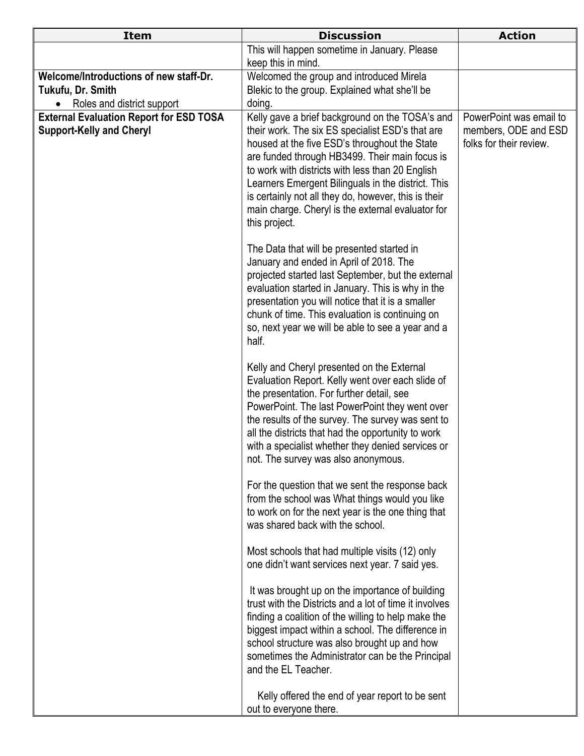| <b>Item</b>                                                                       | <b>Discussion</b>                                                                                                                                                                                                                                                                                                                                                                                    | <b>Action</b>                                                              |
|-----------------------------------------------------------------------------------|------------------------------------------------------------------------------------------------------------------------------------------------------------------------------------------------------------------------------------------------------------------------------------------------------------------------------------------------------------------------------------------------------|----------------------------------------------------------------------------|
|                                                                                   | This will happen sometime in January. Please                                                                                                                                                                                                                                                                                                                                                         |                                                                            |
| Welcome/Introductions of new staff-Dr.                                            | keep this in mind.                                                                                                                                                                                                                                                                                                                                                                                   |                                                                            |
| Tukufu, Dr. Smith                                                                 | Welcomed the group and introduced Mirela<br>Blekic to the group. Explained what she'll be                                                                                                                                                                                                                                                                                                            |                                                                            |
| Roles and district support<br>$\bullet$                                           | doing.                                                                                                                                                                                                                                                                                                                                                                                               |                                                                            |
| <b>External Evaluation Report for ESD TOSA</b><br><b>Support-Kelly and Cheryl</b> | Kelly gave a brief background on the TOSA's and<br>their work. The six ES specialist ESD's that are<br>housed at the five ESD's throughout the State                                                                                                                                                                                                                                                 | PowerPoint was email to<br>members, ODE and ESD<br>folks for their review. |
|                                                                                   | are funded through HB3499. Their main focus is<br>to work with districts with less than 20 English<br>Learners Emergent Bilinguals in the district. This<br>is certainly not all they do, however, this is their<br>main charge. Cheryl is the external evaluator for<br>this project.                                                                                                               |                                                                            |
|                                                                                   | The Data that will be presented started in<br>January and ended in April of 2018. The<br>projected started last September, but the external<br>evaluation started in January. This is why in the<br>presentation you will notice that it is a smaller<br>chunk of time. This evaluation is continuing on<br>so, next year we will be able to see a year and a<br>half.                               |                                                                            |
|                                                                                   | Kelly and Cheryl presented on the External<br>Evaluation Report. Kelly went over each slide of<br>the presentation. For further detail, see<br>PowerPoint. The last PowerPoint they went over<br>the results of the survey. The survey was sent to<br>all the districts that had the opportunity to work<br>with a specialist whether they denied services or<br>not. The survey was also anonymous. |                                                                            |
|                                                                                   | For the question that we sent the response back<br>from the school was What things would you like<br>to work on for the next year is the one thing that<br>was shared back with the school.                                                                                                                                                                                                          |                                                                            |
|                                                                                   | Most schools that had multiple visits (12) only<br>one didn't want services next year. 7 said yes.                                                                                                                                                                                                                                                                                                   |                                                                            |
|                                                                                   | It was brought up on the importance of building<br>trust with the Districts and a lot of time it involves<br>finding a coalition of the willing to help make the<br>biggest impact within a school. The difference in<br>school structure was also brought up and how<br>sometimes the Administrator can be the Principal<br>and the EL Teacher.                                                     |                                                                            |
|                                                                                   | Kelly offered the end of year report to be sent<br>out to everyone there.                                                                                                                                                                                                                                                                                                                            |                                                                            |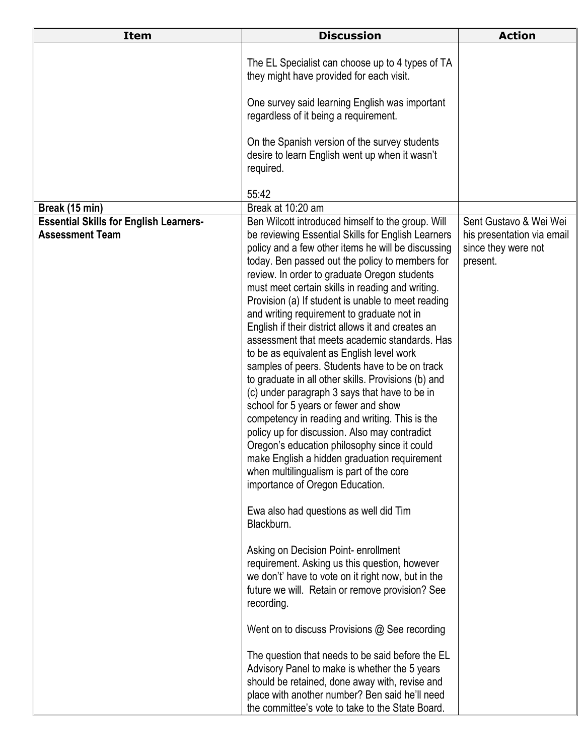| <b>Item</b>                                                             | <b>Discussion</b>                                                                                                                                                                                                                                                                                                                                                                                                                                                                                                                                                                                                                                                                                                                                                                                                                                                                                                                                                                                                                                                                                                                                                                                                                                                                                                                                                                                                                                                                                                                                                                                 | <b>Action</b>                                                                           |
|-------------------------------------------------------------------------|---------------------------------------------------------------------------------------------------------------------------------------------------------------------------------------------------------------------------------------------------------------------------------------------------------------------------------------------------------------------------------------------------------------------------------------------------------------------------------------------------------------------------------------------------------------------------------------------------------------------------------------------------------------------------------------------------------------------------------------------------------------------------------------------------------------------------------------------------------------------------------------------------------------------------------------------------------------------------------------------------------------------------------------------------------------------------------------------------------------------------------------------------------------------------------------------------------------------------------------------------------------------------------------------------------------------------------------------------------------------------------------------------------------------------------------------------------------------------------------------------------------------------------------------------------------------------------------------------|-----------------------------------------------------------------------------------------|
|                                                                         | The EL Specialist can choose up to 4 types of TA<br>they might have provided for each visit.                                                                                                                                                                                                                                                                                                                                                                                                                                                                                                                                                                                                                                                                                                                                                                                                                                                                                                                                                                                                                                                                                                                                                                                                                                                                                                                                                                                                                                                                                                      |                                                                                         |
|                                                                         | One survey said learning English was important<br>regardless of it being a requirement.                                                                                                                                                                                                                                                                                                                                                                                                                                                                                                                                                                                                                                                                                                                                                                                                                                                                                                                                                                                                                                                                                                                                                                                                                                                                                                                                                                                                                                                                                                           |                                                                                         |
|                                                                         | On the Spanish version of the survey students<br>desire to learn English went up when it wasn't<br>required.                                                                                                                                                                                                                                                                                                                                                                                                                                                                                                                                                                                                                                                                                                                                                                                                                                                                                                                                                                                                                                                                                                                                                                                                                                                                                                                                                                                                                                                                                      |                                                                                         |
|                                                                         | 55:42                                                                                                                                                                                                                                                                                                                                                                                                                                                                                                                                                                                                                                                                                                                                                                                                                                                                                                                                                                                                                                                                                                                                                                                                                                                                                                                                                                                                                                                                                                                                                                                             |                                                                                         |
| Break (15 min)                                                          | Break at 10:20 am                                                                                                                                                                                                                                                                                                                                                                                                                                                                                                                                                                                                                                                                                                                                                                                                                                                                                                                                                                                                                                                                                                                                                                                                                                                                                                                                                                                                                                                                                                                                                                                 |                                                                                         |
| <b>Essential Skills for English Learners-</b><br><b>Assessment Team</b> | Ben Wilcott introduced himself to the group. Will<br>be reviewing Essential Skills for English Learners<br>policy and a few other items he will be discussing<br>today. Ben passed out the policy to members for<br>review. In order to graduate Oregon students<br>must meet certain skills in reading and writing.<br>Provision (a) If student is unable to meet reading<br>and writing requirement to graduate not in<br>English if their district allows it and creates an<br>assessment that meets academic standards. Has<br>to be as equivalent as English level work<br>samples of peers. Students have to be on track<br>to graduate in all other skills. Provisions (b) and<br>(c) under paragraph 3 says that have to be in<br>school for 5 years or fewer and show<br>competency in reading and writing. This is the<br>policy up for discussion. Also may contradict<br>Oregon's education philosophy since it could<br>make English a hidden graduation requirement<br>when multilingualism is part of the core<br>importance of Oregon Education.<br>Ewa also had questions as well did Tim<br>Blackburn.<br>Asking on Decision Point-enrollment<br>requirement. Asking us this question, however<br>we don't' have to vote on it right now, but in the<br>future we will. Retain or remove provision? See<br>recording.<br>Went on to discuss Provisions @ See recording<br>The question that needs to be said before the EL<br>Advisory Panel to make is whether the 5 years<br>should be retained, done away with, revise and<br>place with another number? Ben said he'll need | Sent Gustavo & Wei Wei<br>his presentation via email<br>since they were not<br>present. |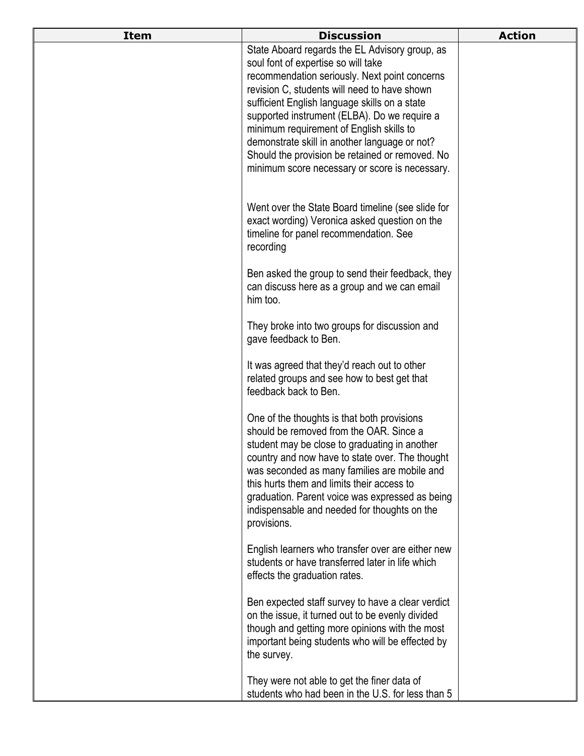| <b>Item</b> | <b>Discussion</b>                                                                                                                                                                                                                                                                                                                                                                                                                                                                         | <b>Action</b> |
|-------------|-------------------------------------------------------------------------------------------------------------------------------------------------------------------------------------------------------------------------------------------------------------------------------------------------------------------------------------------------------------------------------------------------------------------------------------------------------------------------------------------|---------------|
|             | State Aboard regards the EL Advisory group, as<br>soul font of expertise so will take<br>recommendation seriously. Next point concerns<br>revision C, students will need to have shown<br>sufficient English language skills on a state<br>supported instrument (ELBA). Do we require a<br>minimum requirement of English skills to<br>demonstrate skill in another language or not?<br>Should the provision be retained or removed. No<br>minimum score necessary or score is necessary. |               |
|             | Went over the State Board timeline (see slide for<br>exact wording) Veronica asked question on the<br>timeline for panel recommendation. See<br>recording                                                                                                                                                                                                                                                                                                                                 |               |
|             | Ben asked the group to send their feedback, they<br>can discuss here as a group and we can email<br>him too.                                                                                                                                                                                                                                                                                                                                                                              |               |
|             | They broke into two groups for discussion and<br>gave feedback to Ben.                                                                                                                                                                                                                                                                                                                                                                                                                    |               |
|             | It was agreed that they'd reach out to other<br>related groups and see how to best get that<br>feedback back to Ben.                                                                                                                                                                                                                                                                                                                                                                      |               |
|             | One of the thoughts is that both provisions<br>should be removed from the OAR. Since a<br>student may be close to graduating in another<br>country and now have to state over. The thought<br>was seconded as many families are mobile and<br>this hurts them and limits their access to<br>graduation. Parent voice was expressed as being<br>indispensable and needed for thoughts on the<br>provisions.                                                                                |               |
|             | English learners who transfer over are either new<br>students or have transferred later in life which<br>effects the graduation rates.                                                                                                                                                                                                                                                                                                                                                    |               |
|             | Ben expected staff survey to have a clear verdict<br>on the issue, it turned out to be evenly divided<br>though and getting more opinions with the most<br>important being students who will be effected by<br>the survey.                                                                                                                                                                                                                                                                |               |
|             | They were not able to get the finer data of<br>students who had been in the U.S. for less than 5                                                                                                                                                                                                                                                                                                                                                                                          |               |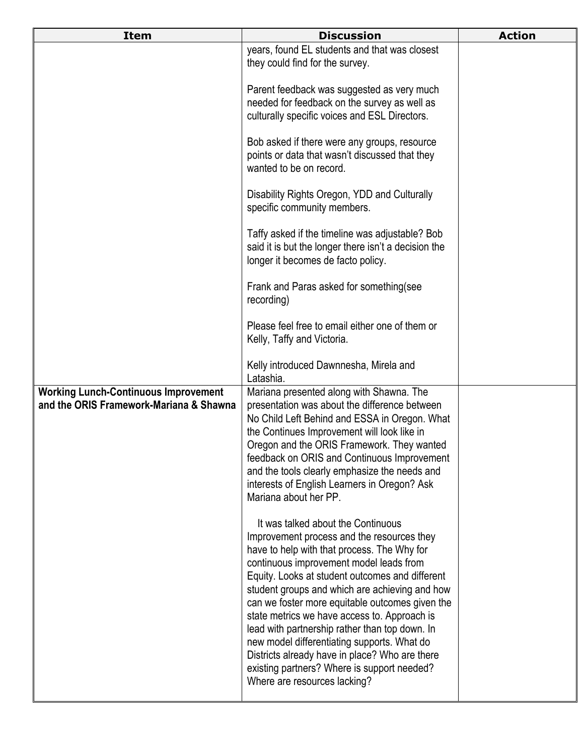| <b>Item</b>                                                                            | <b>Discussion</b>                                                                                                                                                                                                                                                                                                                                                                                                                                                                                                                                                                                                    | <b>Action</b> |
|----------------------------------------------------------------------------------------|----------------------------------------------------------------------------------------------------------------------------------------------------------------------------------------------------------------------------------------------------------------------------------------------------------------------------------------------------------------------------------------------------------------------------------------------------------------------------------------------------------------------------------------------------------------------------------------------------------------------|---------------|
|                                                                                        | years, found EL students and that was closest<br>they could find for the survey.                                                                                                                                                                                                                                                                                                                                                                                                                                                                                                                                     |               |
|                                                                                        | Parent feedback was suggested as very much<br>needed for feedback on the survey as well as<br>culturally specific voices and ESL Directors.                                                                                                                                                                                                                                                                                                                                                                                                                                                                          |               |
|                                                                                        | Bob asked if there were any groups, resource<br>points or data that wasn't discussed that they<br>wanted to be on record.                                                                                                                                                                                                                                                                                                                                                                                                                                                                                            |               |
|                                                                                        | Disability Rights Oregon, YDD and Culturally<br>specific community members.                                                                                                                                                                                                                                                                                                                                                                                                                                                                                                                                          |               |
|                                                                                        | Taffy asked if the timeline was adjustable? Bob<br>said it is but the longer there isn't a decision the<br>longer it becomes de facto policy.                                                                                                                                                                                                                                                                                                                                                                                                                                                                        |               |
|                                                                                        | Frank and Paras asked for something (see<br>recording)                                                                                                                                                                                                                                                                                                                                                                                                                                                                                                                                                               |               |
|                                                                                        | Please feel free to email either one of them or<br>Kelly, Taffy and Victoria.                                                                                                                                                                                                                                                                                                                                                                                                                                                                                                                                        |               |
|                                                                                        | Kelly introduced Dawnnesha, Mirela and<br>Latashia.                                                                                                                                                                                                                                                                                                                                                                                                                                                                                                                                                                  |               |
| <b>Working Lunch-Continuous Improvement</b><br>and the ORIS Framework-Mariana & Shawna | Mariana presented along with Shawna. The<br>presentation was about the difference between<br>No Child Left Behind and ESSA in Oregon. What<br>the Continues Improvement will look like in<br>Oregon and the ORIS Framework. They wanted<br>feedback on ORIS and Continuous Improvement<br>and the tools clearly emphasize the needs and<br>interests of English Learners in Oregon? Ask<br>Mariana about her PP.                                                                                                                                                                                                     |               |
|                                                                                        | It was talked about the Continuous<br>Improvement process and the resources they<br>have to help with that process. The Why for<br>continuous improvement model leads from<br>Equity. Looks at student outcomes and different<br>student groups and which are achieving and how<br>can we foster more equitable outcomes given the<br>state metrics we have access to. Approach is<br>lead with partnership rather than top down. In<br>new model differentiating supports. What do<br>Districts already have in place? Who are there<br>existing partners? Where is support needed?<br>Where are resources lacking? |               |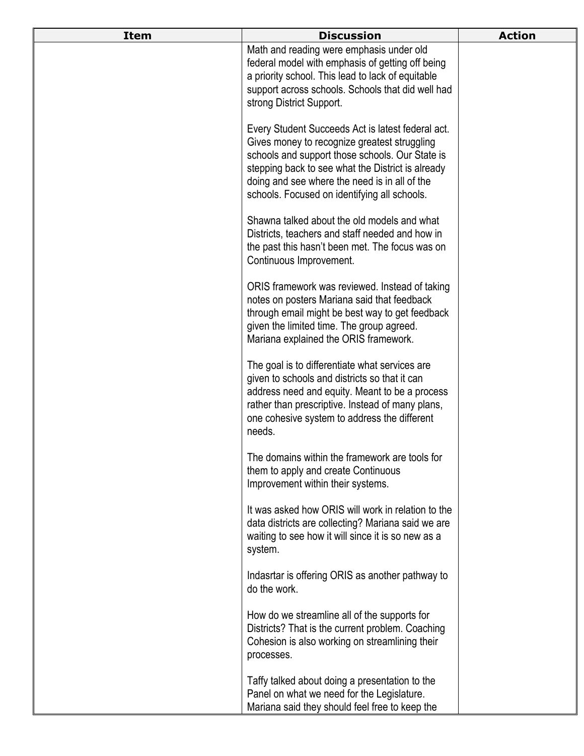| <b>Item</b> | <b>Discussion</b>                                                                                                                                                                                                                                                                                          | <b>Action</b> |
|-------------|------------------------------------------------------------------------------------------------------------------------------------------------------------------------------------------------------------------------------------------------------------------------------------------------------------|---------------|
|             | Math and reading were emphasis under old<br>federal model with emphasis of getting off being<br>a priority school. This lead to lack of equitable<br>support across schools. Schools that did well had<br>strong District Support.                                                                         |               |
|             | Every Student Succeeds Act is latest federal act.<br>Gives money to recognize greatest struggling<br>schools and support those schools. Our State is<br>stepping back to see what the District is already<br>doing and see where the need is in all of the<br>schools. Focused on identifying all schools. |               |
|             | Shawna talked about the old models and what<br>Districts, teachers and staff needed and how in<br>the past this hasn't been met. The focus was on<br>Continuous Improvement.                                                                                                                               |               |
|             | ORIS framework was reviewed. Instead of taking<br>notes on posters Mariana said that feedback<br>through email might be best way to get feedback<br>given the limited time. The group agreed.<br>Mariana explained the ORIS framework.                                                                     |               |
|             | The goal is to differentiate what services are<br>given to schools and districts so that it can<br>address need and equity. Meant to be a process<br>rather than prescriptive. Instead of many plans,<br>one cohesive system to address the different<br>needs.                                            |               |
|             | The domains within the framework are tools for<br>them to apply and create Continuous<br>Improvement within their systems.                                                                                                                                                                                 |               |
|             | It was asked how ORIS will work in relation to the<br>data districts are collecting? Mariana said we are<br>waiting to see how it will since it is so new as a<br>system.                                                                                                                                  |               |
|             | Indasrtar is offering ORIS as another pathway to<br>do the work.                                                                                                                                                                                                                                           |               |
|             | How do we streamline all of the supports for<br>Districts? That is the current problem. Coaching<br>Cohesion is also working on streamlining their<br>processes.                                                                                                                                           |               |
|             | Taffy talked about doing a presentation to the<br>Panel on what we need for the Legislature.<br>Mariana said they should feel free to keep the                                                                                                                                                             |               |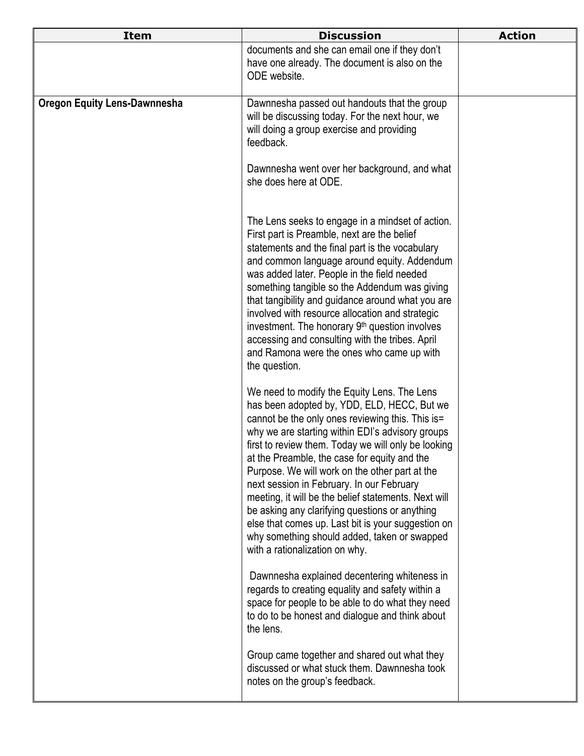| <b>Item</b>                         | <b>Discussion</b>                                                                                                                                                                                                                                                                                                                                                                                                                                                                                                                                                                                                                                          | <b>Action</b> |
|-------------------------------------|------------------------------------------------------------------------------------------------------------------------------------------------------------------------------------------------------------------------------------------------------------------------------------------------------------------------------------------------------------------------------------------------------------------------------------------------------------------------------------------------------------------------------------------------------------------------------------------------------------------------------------------------------------|---------------|
|                                     | documents and she can email one if they don't<br>have one already. The document is also on the<br>ODE website.                                                                                                                                                                                                                                                                                                                                                                                                                                                                                                                                             |               |
| <b>Oregon Equity Lens-Dawnnesha</b> | Dawnnesha passed out handouts that the group<br>will be discussing today. For the next hour, we<br>will doing a group exercise and providing<br>feedback.                                                                                                                                                                                                                                                                                                                                                                                                                                                                                                  |               |
|                                     | Dawnnesha went over her background, and what<br>she does here at ODE.                                                                                                                                                                                                                                                                                                                                                                                                                                                                                                                                                                                      |               |
|                                     | The Lens seeks to engage in a mindset of action.<br>First part is Preamble, next are the belief<br>statements and the final part is the vocabulary<br>and common language around equity. Addendum<br>was added later. People in the field needed<br>something tangible so the Addendum was giving<br>that tangibility and guidance around what you are<br>involved with resource allocation and strategic<br>investment. The honorary 9 <sup>th</sup> question involves<br>accessing and consulting with the tribes. April<br>and Ramona were the ones who came up with<br>the question.                                                                   |               |
|                                     | We need to modify the Equity Lens. The Lens<br>has been adopted by, YDD, ELD, HECC, But we<br>cannot be the only ones reviewing this. This is=<br>why we are starting within EDI's advisory groups<br>first to review them. Today we will only be looking<br>at the Preamble, the case for equity and the<br>Purpose. We will work on the other part at the<br>next session in February. In our February<br>meeting, it will be the belief statements. Next will<br>be asking any clarifying questions or anything<br>else that comes up. Last bit is your suggestion on<br>why something should added, taken or swapped<br>with a rationalization on why. |               |
|                                     | Dawnnesha explained decentering whiteness in<br>regards to creating equality and safety within a<br>space for people to be able to do what they need<br>to do to be honest and dialogue and think about<br>the lens.                                                                                                                                                                                                                                                                                                                                                                                                                                       |               |
|                                     | Group came together and shared out what they<br>discussed or what stuck them. Dawnnesha took<br>notes on the group's feedback.                                                                                                                                                                                                                                                                                                                                                                                                                                                                                                                             |               |